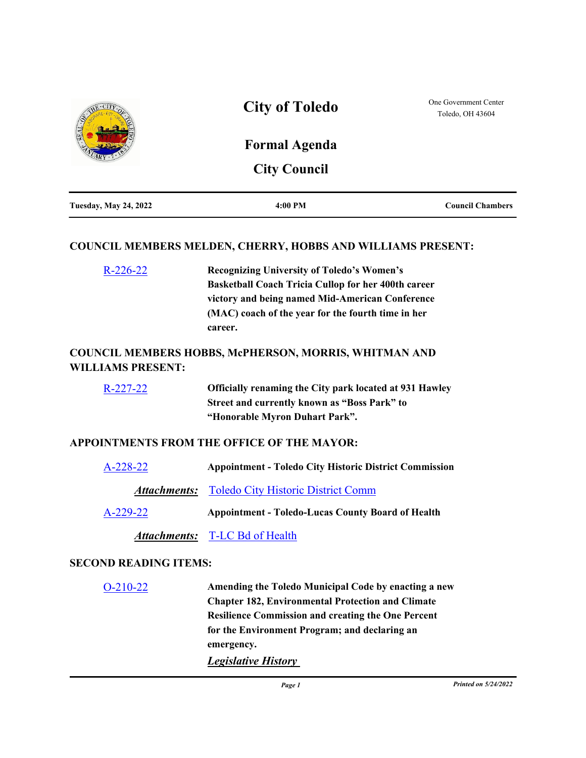

### **COUNCIL MEMBERS MELDEN, CHERRY, HOBBS AND WILLIAMS PRESENT:**

[R-226-22](http://toledo.legistar.com/gateway.aspx?m=l&id=/matter.aspx?key=37761) **Recognizing University of Toledo's Women's Basketball Coach Tricia Cullop for her 400th career victory and being named Mid-American Conference (MAC) coach of the year for the fourth time in her career.**

## **COUNCIL MEMBERS HOBBS, McPHERSON, MORRIS, WHITMAN AND WILLIAMS PRESENT:**

[R-227-22](http://toledo.legistar.com/gateway.aspx?m=l&id=/matter.aspx?key=37762) **Officially renaming the City park located at 931 Hawley Street and currently known as "Boss Park" to "Honorable Myron Duhart Park".**

### **APPOINTMENTS FROM THE OFFICE OF THE MAYOR:**

| $A-228-22$ | <b>Appointment - Toledo City Historic District Commission</b> |
|------------|---------------------------------------------------------------|
|            | <b>Attachments:</b> Toledo City Historic District Comm        |
| $A-229-22$ | <b>Appointment - Toledo-Lucas County Board of Health</b>      |

*Attachments:* [T-LC Bd of Health](http://toledo.legistar.com/gateway.aspx?M=F&ID=3d7f5041-710c-45d0-9acc-e7b504edee2b.pdf)

### **SECOND READING ITEMS:**

| $O-210-22$ | Amending the Toledo Municipal Code by enacting a new      |
|------------|-----------------------------------------------------------|
|            | <b>Chapter 182, Environmental Protection and Climate</b>  |
|            | <b>Resilience Commission and creating the One Percent</b> |
|            | for the Environment Program; and declaring an             |
|            | emergency.                                                |
|            | <b>Legislative History</b>                                |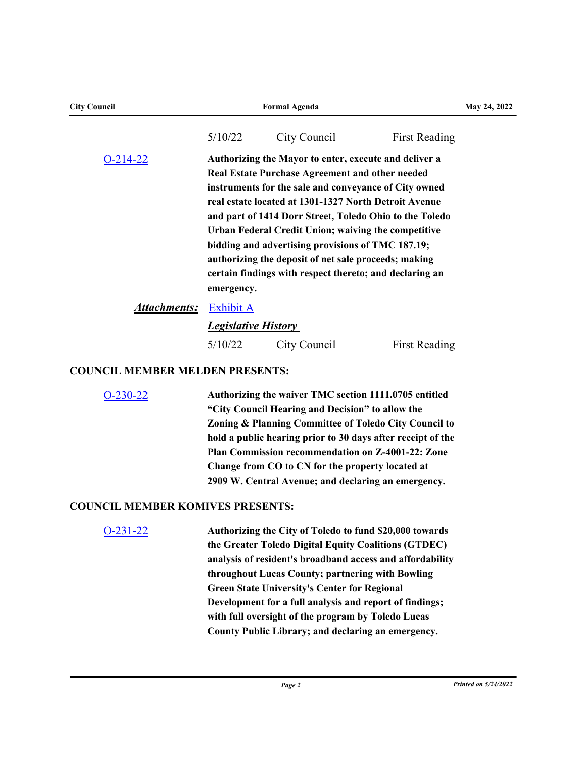| <b>City Council</b>                     |                            | <b>Formal Agenda</b>                                                                                                                                                                                                                                                                                                                                                                                                                                                                                                 |                      | May 24, 2022 |
|-----------------------------------------|----------------------------|----------------------------------------------------------------------------------------------------------------------------------------------------------------------------------------------------------------------------------------------------------------------------------------------------------------------------------------------------------------------------------------------------------------------------------------------------------------------------------------------------------------------|----------------------|--------------|
|                                         | 5/10/22                    | City Council                                                                                                                                                                                                                                                                                                                                                                                                                                                                                                         | <b>First Reading</b> |              |
| $O-214-22$                              | emergency.                 | Authorizing the Mayor to enter, execute and deliver a<br>Real Estate Purchase Agreement and other needed<br>instruments for the sale and conveyance of City owned<br>real estate located at 1301-1327 North Detroit Avenue<br>and part of 1414 Dorr Street, Toledo Ohio to the Toledo<br>Urban Federal Credit Union; waiving the competitive<br>bidding and advertising provisions of TMC 187.19;<br>authorizing the deposit of net sale proceeds; making<br>certain findings with respect thereto; and declaring an |                      |              |
| <b>Attachments:</b>                     | Exhibit A                  |                                                                                                                                                                                                                                                                                                                                                                                                                                                                                                                      |                      |              |
|                                         | <b>Legislative History</b> |                                                                                                                                                                                                                                                                                                                                                                                                                                                                                                                      |                      |              |
|                                         | 5/10/22                    | City Council                                                                                                                                                                                                                                                                                                                                                                                                                                                                                                         | <b>First Reading</b> |              |
| <b>COUNCIL MEMBER MELDEN PRESENTS:</b>  |                            |                                                                                                                                                                                                                                                                                                                                                                                                                                                                                                                      |                      |              |
| $O-230-22$                              |                            | Authorizing the waiver TMC section 1111.0705 entitled<br>"City Council Hearing and Decision" to allow the<br>Zoning & Planning Committee of Toledo City Council to<br>hold a public hearing prior to 30 days after receipt of the<br>Plan Commission recommendation on Z-4001-22: Zone<br>Change from CO to CN for the property located at<br>2909 W. Central Avenue; and declaring an emergency.                                                                                                                    |                      |              |
| <b>COUNCIL MEMBER KOMIVES PRESENTS:</b> |                            |                                                                                                                                                                                                                                                                                                                                                                                                                                                                                                                      |                      |              |
| $O-231-22$                              |                            | Authorizing the City of Toledo to fund \$20,000 towards<br>the Greater Toledo Digital Equity Coalitions (GTDEC)<br>analysis of resident's broadband access and affordability<br>throughout Lucas County; partnering with Bowling<br><b>Green State University's Center for Regional</b><br>Development for a full analysis and report of findings;<br>with full oversight of the program by Toledo Lucas<br>County Public Library; and declaring an emergency.                                                       |                      |              |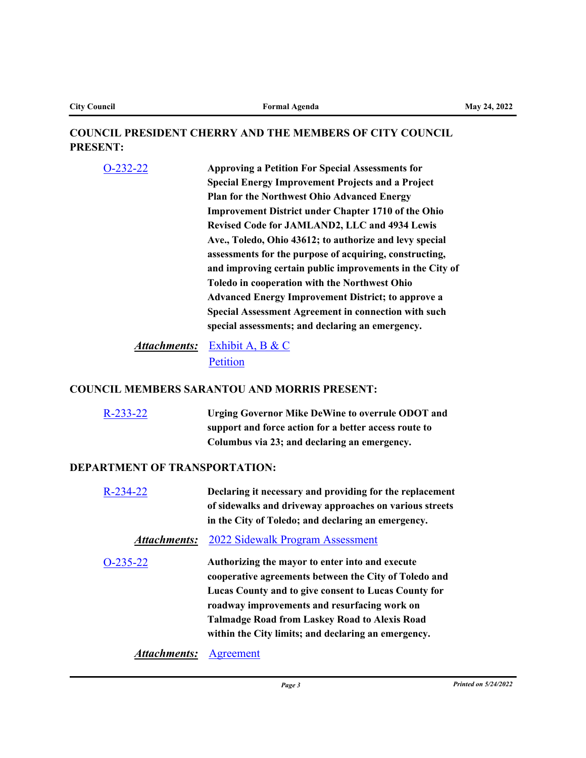## **COUNCIL PRESIDENT CHERRY AND THE MEMBERS OF CITY COUNCIL PRESENT:**

[O-232-22](http://toledo.legistar.com/gateway.aspx?m=l&id=/matter.aspx?key=37767) **Approving a Petition For Special Assessments for Special Energy Improvement Projects and a Project Plan for the Northwest Ohio Advanced Energy Improvement District under Chapter 1710 of the Ohio Revised Code for JAMLAND2, LLC and 4934 Lewis Ave., Toledo, Ohio 43612; to authorize and levy special assessments for the purpose of acquiring, constructing, and improving certain public improvements in the City of Toledo in cooperation with the Northwest Ohio Advanced Energy Improvement District; to approve a Special Assessment Agreement in connection with such special assessments; and declaring an emergency.**

Attachments: [Exhibit A, B & C](http://toledo.legistar.com/gateway.aspx?M=F&ID=6f4e80ff-f193-478b-9e3d-e6bc4fb59c03.docx) [Petition](http://toledo.legistar.com/gateway.aspx?M=F&ID=ea301876-e652-4071-ab34-08e2f7761f79.pdf)

### **COUNCIL MEMBERS SARANTOU AND MORRIS PRESENT:**

[R-233-22](http://toledo.legistar.com/gateway.aspx?m=l&id=/matter.aspx?key=37813) **Urging Governor Mike DeWine to overrule ODOT and support and force action for a better access route to Columbus via 23; and declaring an emergency.**

#### **DEPARTMENT OF TRANSPORTATION:**

| $R - 234 - 22$ | Declaring it necessary and providing for the replacement<br>of sidewalks and driveway approaches on various streets<br>in the City of Toledo; and declaring an emergency.                                                                                                                                                       |
|----------------|---------------------------------------------------------------------------------------------------------------------------------------------------------------------------------------------------------------------------------------------------------------------------------------------------------------------------------|
| Attachments:   | 2022 Sidewalk Program Assessment                                                                                                                                                                                                                                                                                                |
| $O-235-22$     | Authorizing the mayor to enter into and execute<br>cooperative agreements between the City of Toledo and<br>Lucas County and to give consent to Lucas County for<br>roadway improvements and resurfacing work on<br><b>Talmadge Road from Laskey Road to Alexis Road</b><br>within the City limits; and declaring an emergency. |

*Attachments:* [Agreement](http://toledo.legistar.com/gateway.aspx?M=F&ID=91ffaeda-895e-472f-9a1b-cb98bd85c73a.pdf)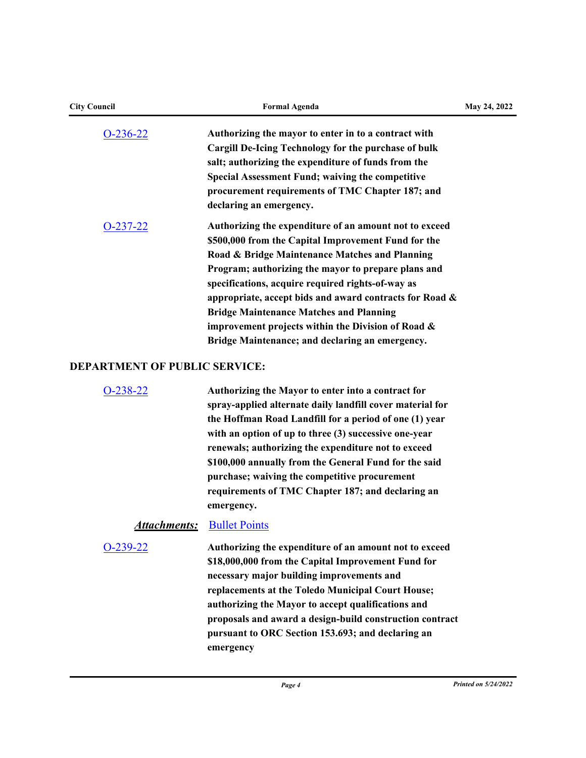| <b>City Council</b>                  | <b>Formal Agenda</b>                                                                                                                                                                                                                                                                                                                                                                                                                                                                                 | May 24, 2022 |
|--------------------------------------|------------------------------------------------------------------------------------------------------------------------------------------------------------------------------------------------------------------------------------------------------------------------------------------------------------------------------------------------------------------------------------------------------------------------------------------------------------------------------------------------------|--------------|
| $O-236-22$                           | Authorizing the mayor to enter in to a contract with<br><b>Cargill De-Icing Technology for the purchase of bulk</b><br>salt; authorizing the expenditure of funds from the<br><b>Special Assessment Fund; waiving the competitive</b><br>procurement requirements of TMC Chapter 187; and<br>declaring an emergency.                                                                                                                                                                                 |              |
| $O-237-22$                           | Authorizing the expenditure of an amount not to exceed<br>\$500,000 from the Capital Improvement Fund for the<br>Road & Bridge Maintenance Matches and Planning<br>Program; authorizing the mayor to prepare plans and<br>specifications, acquire required rights-of-way as<br>appropriate, accept bids and award contracts for Road &<br><b>Bridge Maintenance Matches and Planning</b><br>improvement projects within the Division of Road $\&$<br>Bridge Maintenance; and declaring an emergency. |              |
| <b>DEPARTMENT OF PUBLIC SERVICE:</b> |                                                                                                                                                                                                                                                                                                                                                                                                                                                                                                      |              |
| $O-238-22$                           | Authorizing the Mayor to enter into a contract for<br>spray-applied alternate daily landfill cover material for<br>the Hoffman Road Landfill for a period of one (1) year<br>with an option of up to three (3) successive one-year<br>renewals; authorizing the expenditure not to exceed<br>\$100,000 annually from the General Fund for the said<br>purchase; waiving the competitive procurement<br>requirements of TMC Chapter 187; and declaring an<br>emergency.                               |              |
| <b>Attachments:</b>                  | <b>Bullet Points</b>                                                                                                                                                                                                                                                                                                                                                                                                                                                                                 |              |
| O-239-22                             | Authorizing the expenditure of an amount not to exceed<br>\$18,000,000 from the Capital Improvement Fund for<br>necessary major building improvements and<br>replacements at the Toledo Municipal Court House;<br>authorizing the Mayor to accept qualifications and<br>proposals and award a design-build construction contract<br>pursuant to ORC Section 153.693; and declaring an<br>emergency                                                                                                   |              |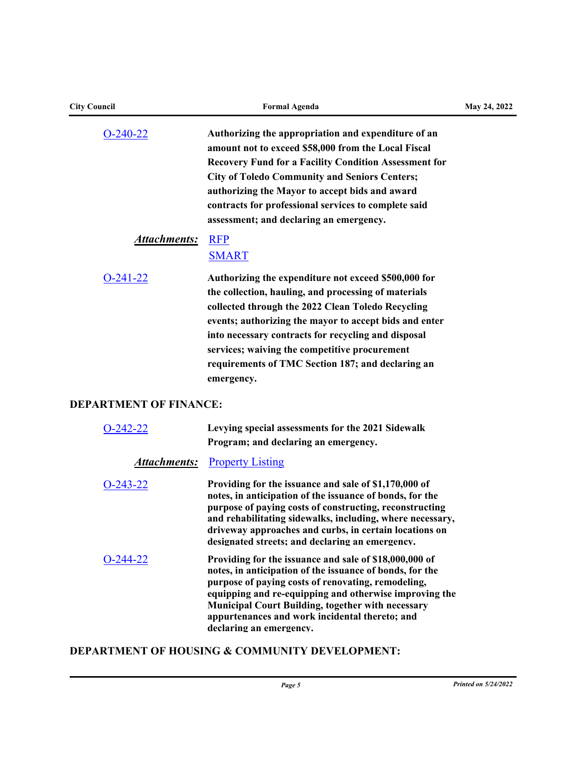| <b>City Council</b>               | <b>Formal Agenda</b>                                                                                                                                                                                                                                                                                                                                                                                           | May 24, 2022 |
|-----------------------------------|----------------------------------------------------------------------------------------------------------------------------------------------------------------------------------------------------------------------------------------------------------------------------------------------------------------------------------------------------------------------------------------------------------------|--------------|
| $O-240-22$<br><b>Attachments:</b> | Authorizing the appropriation and expenditure of an<br>amount not to exceed \$58,000 from the Local Fiscal<br>Recovery Fund for a Facility Condition Assessment for<br><b>City of Toledo Community and Seniors Centers;</b><br>authorizing the Mayor to accept bids and award<br>contracts for professional services to complete said<br>assessment; and declaring an emergency.<br><b>RFP</b><br><b>SMART</b> |              |
| $O-241-22$                        | Authorizing the expenditure not exceed \$500,000 for<br>the collection, hauling, and processing of materials<br>collected through the 2022 Clean Toledo Recycling<br>events; authorizing the mayor to accept bids and enter<br>into necessary contracts for recycling and disposal<br>services; waiving the competitive procurement<br>requirements of TMC Section 187; and declaring an<br>emergency.         |              |
| <b>DEPARTMENT OF FINANCE:</b>     |                                                                                                                                                                                                                                                                                                                                                                                                                |              |
| $O-242-22$                        | Levying special assessments for the 2021 Sidewalk<br>Program; and declaring an emergency.                                                                                                                                                                                                                                                                                                                      |              |
| <u>Attachments:</u>               | <b>Property Listing</b>                                                                                                                                                                                                                                                                                                                                                                                        |              |
| $O-243-22$                        | Providing for the issuance and sale of \$1,170,000 of<br>notes, in anticipation of the issuance of bonds, for the<br>purpose of paying costs of constructing, reconstructing<br>and rehabilitating sidewalks, including, where necessary,<br>driveway approaches and curbs, in certain locations on<br>designated streets; and declaring an emergency.                                                         |              |
| O-244-22                          | Providing for the issuance and sale of \$18,000,000 of<br>notes, in anticipation of the issuance of bonds, for the<br>purpose of paying costs of renovating, remodeling,<br>equipping and re-equipping and otherwise improving the<br><b>Municipal Court Building, together with necessary</b><br>appurtenances and work incidental thereto; and<br>declaring an emergency.                                    |              |

# **DEPARTMENT OF HOUSING & COMMUNITY DEVELOPMENT:**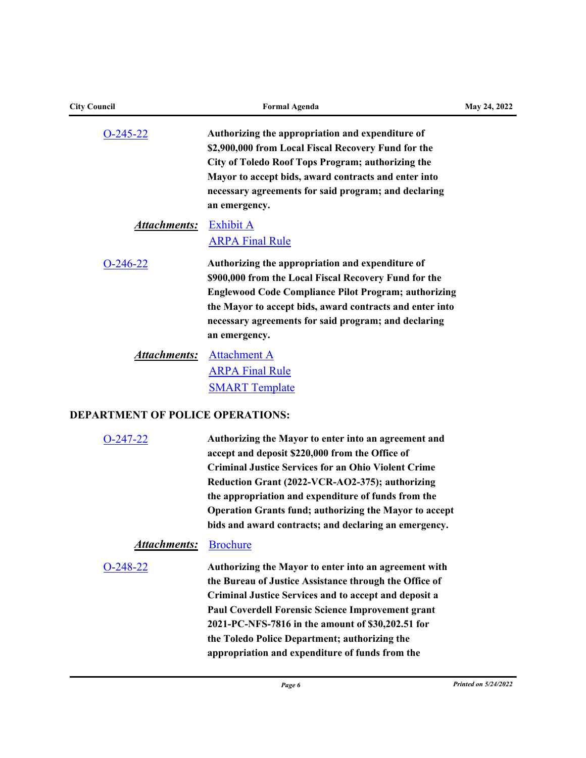| <b>City Council</b> | <b>Formal Agenda</b>                                                                                                                                                                                                                                                                                          | May 24, 2022 |
|---------------------|---------------------------------------------------------------------------------------------------------------------------------------------------------------------------------------------------------------------------------------------------------------------------------------------------------------|--------------|
| $O-245-22$          | Authorizing the appropriation and expenditure of<br>\$2,900,000 from Local Fiscal Recovery Fund for the<br>City of Toledo Roof Tops Program; authorizing the<br>Mayor to accept bids, award contracts and enter into<br>necessary agreements for said program; and declaring<br>an emergency.                 |              |
| <b>Attachments:</b> | Exhibit A<br><b>ARPA Final Rule</b>                                                                                                                                                                                                                                                                           |              |
| $O-246-22$          | Authorizing the appropriation and expenditure of<br>\$900,000 from the Local Fiscal Recovery Fund for the<br><b>Englewood Code Compliance Pilot Program; authorizing</b><br>the Mayor to accept bids, award contracts and enter into<br>necessary agreements for said program; and declaring<br>an emergency. |              |
| <u>Attachments:</u> | <b>Attachment A</b><br><b>ARPA Final Rule</b><br><b>SMART Template</b>                                                                                                                                                                                                                                        |              |

# **DEPARTMENT OF POLICE OPERATIONS:**

| O-247-22            | Authorizing the Mayor to enter into an agreement and<br>accept and deposit \$220,000 from the Office of<br><b>Criminal Justice Services for an Ohio Violent Crime</b><br>Reduction Grant (2022-VCR-AO2-375); authorizing<br>the appropriation and expenditure of funds from the<br><b>Operation Grants fund; authorizing the Mayor to accept</b><br>bids and award contracts; and declaring an emergency. |
|---------------------|-----------------------------------------------------------------------------------------------------------------------------------------------------------------------------------------------------------------------------------------------------------------------------------------------------------------------------------------------------------------------------------------------------------|
| <b>Attachments:</b> | <b>Brochure</b>                                                                                                                                                                                                                                                                                                                                                                                           |
| O-248-22            | Authorizing the Mayor to enter into an agreement with<br>the Bureau of Justice Assistance through the Office of<br>Criminal Justice Services and to accept and deposit a<br>Paul Coverdell Forensic Science Improvement grant<br>2021-PC-NFS-7816 in the amount of \$30,202.51 for<br>the Toledo Police Department; authorizing the<br>appropriation and expenditure of funds from the                    |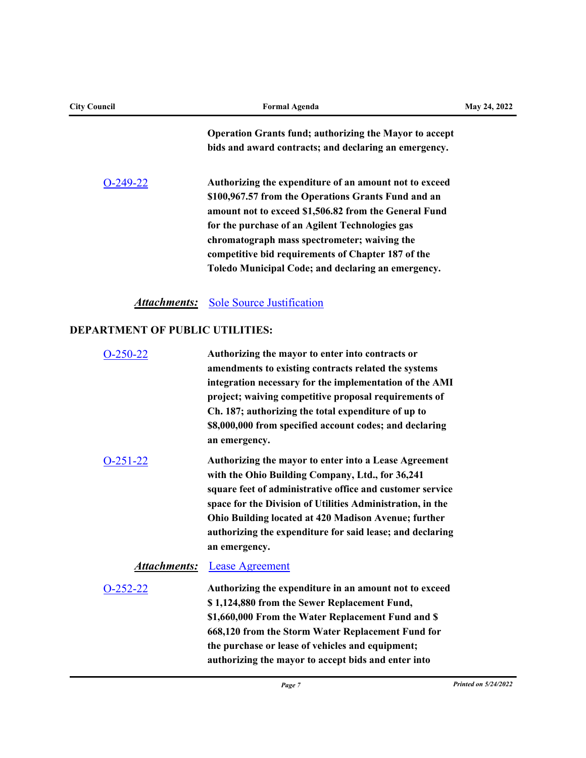| <b>City Council</b> | <b>Formal Agenda</b>                                                                                                                                                                                                                                                                                                                                                                  | May 24, 2022 |
|---------------------|---------------------------------------------------------------------------------------------------------------------------------------------------------------------------------------------------------------------------------------------------------------------------------------------------------------------------------------------------------------------------------------|--------------|
|                     | <b>Operation Grants fund; authorizing the Mayor to accept</b><br>bids and award contracts; and declaring an emergency.                                                                                                                                                                                                                                                                |              |
| $O-249-22$          | Authorizing the expenditure of an amount not to exceed<br>\$100,967.57 from the Operations Grants Fund and an<br>amount not to exceed \$1,506.82 from the General Fund<br>for the purchase of an Agilent Technologies gas<br>chromatograph mass spectrometer; waiving the<br>competitive bid requirements of Chapter 187 of the<br>Toledo Municipal Code; and declaring an emergency. |              |
|                     |                                                                                                                                                                                                                                                                                                                                                                                       |              |

**Attachments:** [Sole Source Justification](http://toledo.legistar.com/gateway.aspx?M=F&ID=a17102b5-18a2-4e5d-ae8f-cbad4eb46237.pdf)

# **DEPARTMENT OF PUBLIC UTILITIES:**

| $O-250-22$       | Authorizing the mayor to enter into contracts or           |
|------------------|------------------------------------------------------------|
|                  | amendments to existing contracts related the systems       |
|                  | integration necessary for the implementation of the AMI    |
|                  | project; waiving competitive proposal requirements of      |
|                  | Ch. 187; authorizing the total expenditure of up to        |
|                  | \$8,000,000 from specified account codes; and declaring    |
|                  | an emergency.                                              |
| O-2 <u>51-22</u> | Authorizing the mayor to enter into a Lease Agreement      |
|                  | with the Ohio Building Company, Ltd., for 36,241           |
|                  | square feet of administrative office and customer service  |
|                  | space for the Division of Utilities Administration, in the |
|                  | Ohio Building located at 420 Madison Avenue; further       |
|                  | authorizing the expenditure for said lease; and declaring  |
|                  | an emergency.                                              |
| Attachments:     | <b>Lease Agreement</b>                                     |
| $O-252-22$       | Authorizing the expenditure in an amount not to exceed     |
|                  | \$1,124,880 from the Sewer Replacement Fund,               |
|                  | \$1,660,000 From the Water Replacement Fund and \$         |
|                  | 668,120 from the Storm Water Replacement Fund for          |
|                  | the purchase or lease of vehicles and equipment;           |
|                  |                                                            |
|                  | authorizing the mayor to accept bids and enter into        |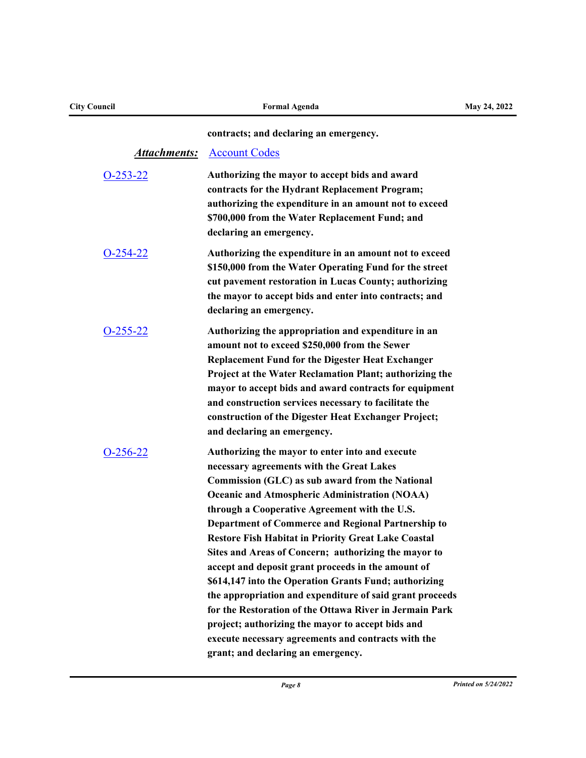| <b>City Council</b> | <b>Formal Agenda</b>                                                                                                                                                                                                                                                                                                                                                                                                                                                                                                                                                                                                                                                                                                                                                                                                                | May 24, 2022 |
|---------------------|-------------------------------------------------------------------------------------------------------------------------------------------------------------------------------------------------------------------------------------------------------------------------------------------------------------------------------------------------------------------------------------------------------------------------------------------------------------------------------------------------------------------------------------------------------------------------------------------------------------------------------------------------------------------------------------------------------------------------------------------------------------------------------------------------------------------------------------|--------------|
|                     | contracts; and declaring an emergency.                                                                                                                                                                                                                                                                                                                                                                                                                                                                                                                                                                                                                                                                                                                                                                                              |              |
| <u>Attachments:</u> | <b>Account Codes</b>                                                                                                                                                                                                                                                                                                                                                                                                                                                                                                                                                                                                                                                                                                                                                                                                                |              |
| $O-253-22$          | Authorizing the mayor to accept bids and award<br>contracts for the Hydrant Replacement Program;<br>authorizing the expenditure in an amount not to exceed<br>\$700,000 from the Water Replacement Fund; and<br>declaring an emergency.                                                                                                                                                                                                                                                                                                                                                                                                                                                                                                                                                                                             |              |
| $O-254-22$          | Authorizing the expenditure in an amount not to exceed<br>\$150,000 from the Water Operating Fund for the street<br>cut pavement restoration in Lucas County; authorizing<br>the mayor to accept bids and enter into contracts; and<br>declaring an emergency.                                                                                                                                                                                                                                                                                                                                                                                                                                                                                                                                                                      |              |
| $O-255-22$          | Authorizing the appropriation and expenditure in an<br>amount not to exceed \$250,000 from the Sewer<br><b>Replacement Fund for the Digester Heat Exchanger</b><br>Project at the Water Reclamation Plant; authorizing the<br>mayor to accept bids and award contracts for equipment<br>and construction services necessary to facilitate the<br>construction of the Digester Heat Exchanger Project;<br>and declaring an emergency.                                                                                                                                                                                                                                                                                                                                                                                                |              |
| $O-256-22$          | Authorizing the mayor to enter into and execute<br>necessary agreements with the Great Lakes<br>Commission (GLC) as sub award from the National<br><b>Oceanic and Atmospheric Administration (NOAA)</b><br>through a Cooperative Agreement with the U.S.<br><b>Department of Commerce and Regional Partnership to</b><br><b>Restore Fish Habitat in Priority Great Lake Coastal</b><br>Sites and Areas of Concern; authorizing the mayor to<br>accept and deposit grant proceeds in the amount of<br>\$614,147 into the Operation Grants Fund; authorizing<br>the appropriation and expenditure of said grant proceeds<br>for the Restoration of the Ottawa River in Jermain Park<br>project; authorizing the mayor to accept bids and<br>execute necessary agreements and contracts with the<br>grant; and declaring an emergency. |              |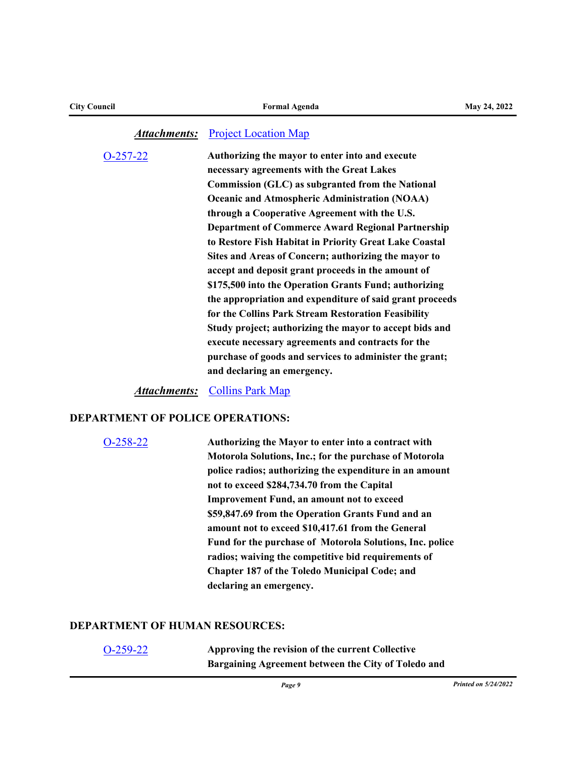#### **Attachments:** [Project Location Map](http://toledo.legistar.com/gateway.aspx?M=F&ID=f4b897e7-5f69-4e43-9fb0-40d218eb72bc.pdf)

[O-257-22](http://toledo.legistar.com/gateway.aspx?m=l&id=/matter.aspx?key=37732) **Authorizing the mayor to enter into and execute necessary agreements with the Great Lakes Commission (GLC) as subgranted from the National Oceanic and Atmospheric Administration (NOAA) through a Cooperative Agreement with the U.S. Department of Commerce Award Regional Partnership to Restore Fish Habitat in Priority Great Lake Coastal Sites and Areas of Concern; authorizing the mayor to accept and deposit grant proceeds in the amount of \$175,500 into the Operation Grants Fund; authorizing the appropriation and expenditure of said grant proceeds for the Collins Park Stream Restoration Feasibility Study project; authorizing the mayor to accept bids and execute necessary agreements and contracts for the purchase of goods and services to administer the grant; and declaring an emergency.** 

*Attachments:* [Collins Park Map](http://toledo.legistar.com/gateway.aspx?M=F&ID=d602ad5c-71f4-42fc-8cae-cb5586f654a1.pdf)

#### **DEPARTMENT OF POLICE OPERATIONS:**

```
O-258-22 Authorizing the Mayor to enter into a contract with 
           Motorola Solutions, Inc.; for the purchase of Motorola 
           police radios; authorizing the expenditure in an amount 
           not to exceed $284,734.70 from the Capital 
           Improvement Fund, an amount not to exceed 
           $59,847.69 from the Operation Grants Fund and an 
           amount not to exceed $10,417.61 from the General 
           Fund for the purchase of Motorola Solutions, Inc. police 
           radios; waiving the competitive bid requirements of 
           Chapter 187 of the Toledo Municipal Code; and 
           declaring an emergency.
```
#### **DEPARTMENT OF HUMAN RESOURCES:**

| $O-259-22$ | Approving the revision of the current Collective    |
|------------|-----------------------------------------------------|
|            | Bargaining Agreement between the City of Toledo and |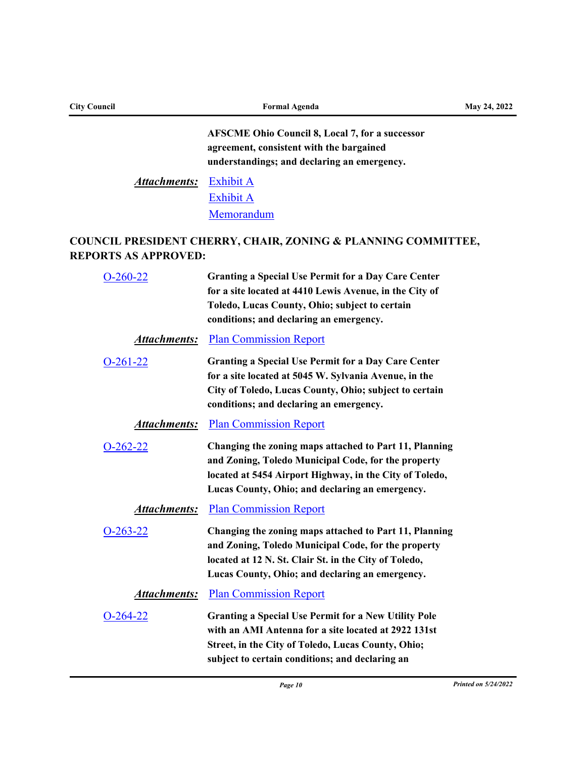| <b>City Council</b>               | <b>Formal Agenda</b>                                                                                                                                                                                                                                      | May 24, 2022 |  |
|-----------------------------------|-----------------------------------------------------------------------------------------------------------------------------------------------------------------------------------------------------------------------------------------------------------|--------------|--|
|                                   | <b>AFSCME Ohio Council 8, Local 7, for a successor</b><br>agreement, consistent with the bargained<br>understandings; and declaring an emergency.                                                                                                         |              |  |
| <b>Attachments:</b>               | <b>Exhibit A</b><br><b>Exhibit A</b><br>Memorandum                                                                                                                                                                                                        |              |  |
| <b>REPORTS AS APPROVED:</b>       | COUNCIL PRESIDENT CHERRY, CHAIR, ZONING & PLANNING COMMITTEE,                                                                                                                                                                                             |              |  |
| $O-260-22$                        | <b>Granting a Special Use Permit for a Day Care Center</b><br>for a site located at 4410 Lewis Avenue, in the City of<br>Toledo, Lucas County, Ohio; subject to certain<br>conditions; and declaring an emergency.                                        |              |  |
| Attachments:                      | <b>Plan Commission Report</b>                                                                                                                                                                                                                             |              |  |
| $O-261-22$<br><b>Attachments:</b> | <b>Granting a Special Use Permit for a Day Care Center</b><br>for a site located at 5045 W. Sylvania Avenue, in the<br>City of Toledo, Lucas County, Ohio; subject to certain<br>conditions; and declaring an emergency.<br><b>Plan Commission Report</b> |              |  |
| $O-262-22$                        | Changing the zoning maps attached to Part 11, Planning<br>and Zoning, Toledo Municipal Code, for the property<br>located at 5454 Airport Highway, in the City of Toledo,<br>Lucas County, Ohio; and declaring an emergency.                               |              |  |
| <b>Attachments:</b>               | <b>Plan Commission Report</b>                                                                                                                                                                                                                             |              |  |
| $O-263-22$                        | Changing the zoning maps attached to Part 11, Planning<br>and Zoning, Toledo Municipal Code, for the property<br>located at 12 N. St. Clair St. in the City of Toledo,<br>Lucas County, Ohio; and declaring an emergency.                                 |              |  |
| <u>Attachments:</u>               | <b>Plan Commission Report</b>                                                                                                                                                                                                                             |              |  |
| $O-264-22$                        | <b>Granting a Special Use Permit for a New Utility Pole</b><br>with an AMI Antenna for a site located at 2922 131st<br>Street, in the City of Toledo, Lucas County, Ohio;<br>subject to certain conditions; and declaring an                              |              |  |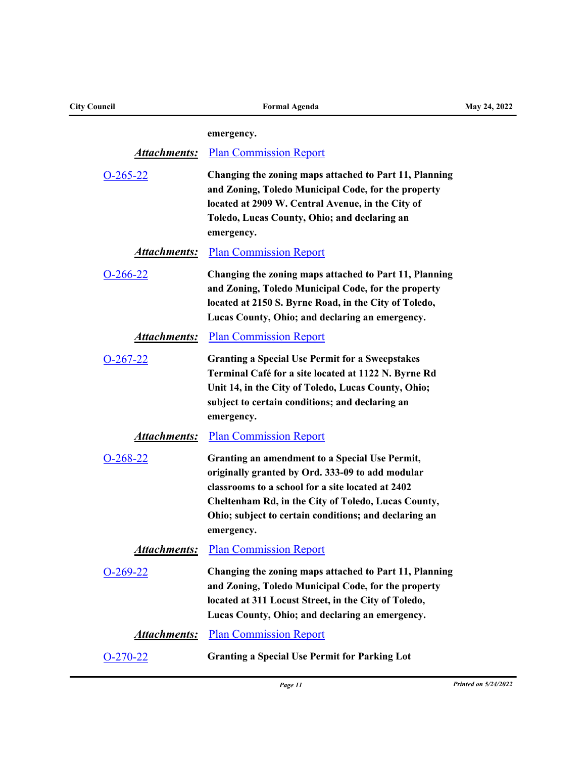| <b>City Council</b> | <b>Formal Agenda</b>                                                                                                                                                                                                                                                                  | May 24, 2022 |  |
|---------------------|---------------------------------------------------------------------------------------------------------------------------------------------------------------------------------------------------------------------------------------------------------------------------------------|--------------|--|
|                     | emergency.                                                                                                                                                                                                                                                                            |              |  |
| <b>Attachments:</b> | <b>Plan Commission Report</b>                                                                                                                                                                                                                                                         |              |  |
| $O-265-22$          | Changing the zoning maps attached to Part 11, Planning                                                                                                                                                                                                                                |              |  |
|                     | and Zoning, Toledo Municipal Code, for the property                                                                                                                                                                                                                                   |              |  |
|                     | located at 2909 W. Central Avenue, in the City of<br>Toledo, Lucas County, Ohio; and declaring an                                                                                                                                                                                     |              |  |
|                     | emergency.                                                                                                                                                                                                                                                                            |              |  |
| <u>Attachments:</u> | <b>Plan Commission Report</b>                                                                                                                                                                                                                                                         |              |  |
| $O-266-22$          | Changing the zoning maps attached to Part 11, Planning<br>and Zoning, Toledo Municipal Code, for the property<br>located at 2150 S. Byrne Road, in the City of Toledo,<br>Lucas County, Ohio; and declaring an emergency.                                                             |              |  |
| <b>Attachments:</b> | <b>Plan Commission Report</b>                                                                                                                                                                                                                                                         |              |  |
| $O-267-22$          | <b>Granting a Special Use Permit for a Sweepstakes</b><br>Terminal Café for a site located at 1122 N. Byrne Rd<br>Unit 14, in the City of Toledo, Lucas County, Ohio;<br>subject to certain conditions; and declaring an<br>emergency.                                                |              |  |
| <b>Attachments:</b> | <b>Plan Commission Report</b>                                                                                                                                                                                                                                                         |              |  |
| $O-268-22$          | Granting an amendment to a Special Use Permit,<br>originally granted by Ord. 333-09 to add modular<br>classrooms to a school for a site located at 2402<br>Cheltenham Rd, in the City of Toledo, Lucas County,<br>Ohio; subject to certain conditions; and declaring an<br>emergency. |              |  |
| Attachments:        | <b>Plan Commission Report</b>                                                                                                                                                                                                                                                         |              |  |
| $O-269-22$          | Changing the zoning maps attached to Part 11, Planning<br>and Zoning, Toledo Municipal Code, for the property<br>located at 311 Locust Street, in the City of Toledo,<br>Lucas County, Ohio; and declaring an emergency.                                                              |              |  |
| <b>Attachments:</b> | <b>Plan Commission Report</b>                                                                                                                                                                                                                                                         |              |  |
| $O-270-22$          | <b>Granting a Special Use Permit for Parking Lot</b>                                                                                                                                                                                                                                  |              |  |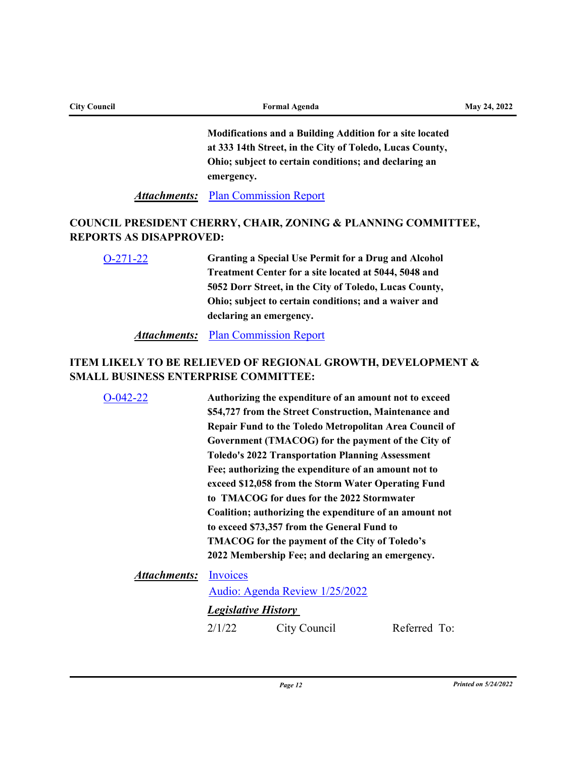| <b>City Council</b> | <b>Formal Agenda</b>                                                                                                        | May 24, 2022 |
|---------------------|-----------------------------------------------------------------------------------------------------------------------------|--------------|
|                     | <b>Modifications and a Building Addition for a site located</b><br>at 333 14th Street, in the City of Toledo, Lucas County, |              |
|                     | Ohio; subject to certain conditions; and declaring an                                                                       |              |
|                     | emergency.                                                                                                                  |              |
|                     | <b>Attachments:</b> Plan Commission Report                                                                                  |              |

## **COUNCIL PRESIDENT CHERRY, CHAIR, ZONING & PLANNING COMMITTEE, REPORTS AS DISAPPROVED:**

[O-271-22](http://toledo.legistar.com/gateway.aspx?m=l&id=/matter.aspx?key=37810) **Granting a Special Use Permit for a Drug and Alcohol Treatment Center for a site located at 5044, 5048 and 5052 Dorr Street, in the City of Toledo, Lucas County, Ohio; subject to certain conditions; and a waiver and declaring an emergency.**

## **Attachments:** [Plan Commission Report](http://toledo.legistar.com/gateway.aspx?M=F&ID=f28a3135-2521-4b60-aef7-556e8a29af6e.pdf)

# **ITEM LIKELY TO BE RELIEVED OF REGIONAL GROWTH, DEVELOPMENT & SMALL BUSINESS ENTERPRISE COMMITTEE:**

| $O-042-22$                   | Authorizing the expenditure of an amount not to exceed<br>\$54,727 from the Street Construction, Maintenance and                                                                                                                                                                                                             |                                                  |              |
|------------------------------|------------------------------------------------------------------------------------------------------------------------------------------------------------------------------------------------------------------------------------------------------------------------------------------------------------------------------|--------------------------------------------------|--------------|
|                              | Repair Fund to the Toledo Metropolitan Area Council of                                                                                                                                                                                                                                                                       |                                                  |              |
|                              | Government (TMACOG) for the payment of the City of                                                                                                                                                                                                                                                                           |                                                  |              |
|                              | <b>Toledo's 2022 Transportation Planning Assessment</b>                                                                                                                                                                                                                                                                      |                                                  |              |
|                              | Fee; authorizing the expenditure of an amount not to<br>exceed \$12,058 from the Storm Water Operating Fund<br>to TMACOG for dues for the 2022 Stormwater<br>Coalition; authorizing the expenditure of an amount not<br>to exceed \$73,357 from the General Fund to<br><b>TMACOG</b> for the payment of the City of Toledo's |                                                  |              |
|                              |                                                                                                                                                                                                                                                                                                                              |                                                  |              |
|                              |                                                                                                                                                                                                                                                                                                                              |                                                  |              |
|                              |                                                                                                                                                                                                                                                                                                                              |                                                  |              |
|                              |                                                                                                                                                                                                                                                                                                                              | 2022 Membership Fee; and declaring an emergency. |              |
| <b>Attachments:</b> Invoices |                                                                                                                                                                                                                                                                                                                              |                                                  |              |
|                              | Audio: Agenda Review 1/25/2022                                                                                                                                                                                                                                                                                               |                                                  |              |
|                              | <b>Legislative History</b>                                                                                                                                                                                                                                                                                                   |                                                  |              |
|                              | 2/1/22                                                                                                                                                                                                                                                                                                                       | City Council                                     | Referred To: |
|                              |                                                                                                                                                                                                                                                                                                                              |                                                  |              |